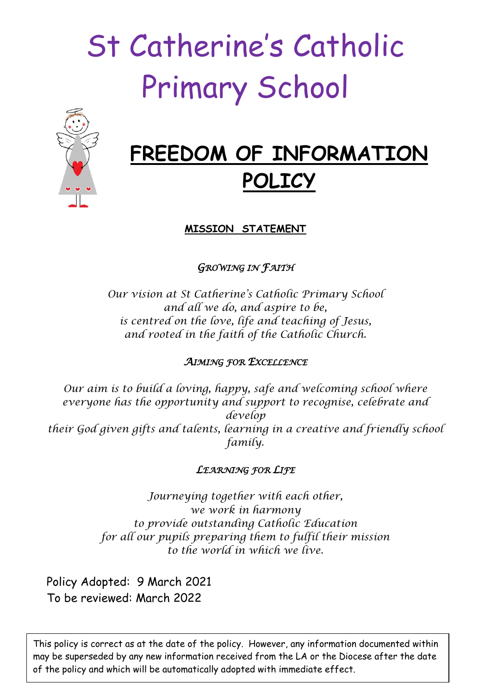# St Catherine's Catholic Primary School



# **FREEDOM OF INFORMATION POLICY**

**MISSION STATEMENT**

*GROWING IN FAITH* 

*Our vision at St Catherine's Catholic Primary School and all we do, and aspire to be, is centred on the love, life and teaching of Jesus, and rooted in the faith of the Catholic Church.*

# *AIMING FOR EXCELLENCE*

*Our aim is to build a loving, happy, safe and welcoming school where everyone has the opportunity and support to recognise, celebrate and develop their God given gifts and talents, learning in a creative and friendly school family.*

# *LEARNING FOR LIFE*

*Journeying together with each other, we work in harmony to provide outstanding Catholic Education for all our pupils preparing them to fulfil their mission to the world in which we live.*

Policy Adopted: 9 March 2021 To be reviewed: March 2022

This policy is correct as at the date of the policy. However, any information documented within may be superseded by any new information received from the LA or the Diocese after the date of the policy and which will be automatically adopted with immediate effect.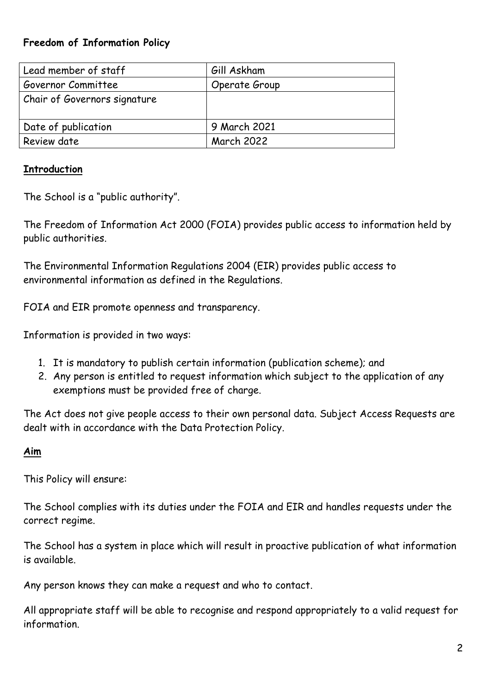## **Freedom of Information Policy**

| Lead member of staff         | Gill Askham       |
|------------------------------|-------------------|
| Governor Committee           | Operate Group     |
| Chair of Governors signature |                   |
|                              |                   |
| Date of publication          | 9 March 2021      |
| Review date                  | <b>March 2022</b> |

## **Introduction**

The School is a "public authority".

The Freedom of Information Act 2000 (FOIA) provides public access to information held by public authorities.

The Environmental Information Regulations 2004 (EIR) provides public access to environmental information as defined in the Regulations.

FOIA and EIR promote openness and transparency.

Information is provided in two ways:

- 1. It is mandatory to publish certain information (publication scheme); and
- 2. Any person is entitled to request information which subject to the application of any exemptions must be provided free of charge.

The Act does not give people access to their own personal data. Subject Access Requests are dealt with in accordance with the Data Protection Policy.

#### **Aim**

This Policy will ensure:

The School complies with its duties under the FOIA and EIR and handles requests under the correct regime.

The School has a system in place which will result in proactive publication of what information is available.

Any person knows they can make a request and who to contact.

All appropriate staff will be able to recognise and respond appropriately to a valid request for information.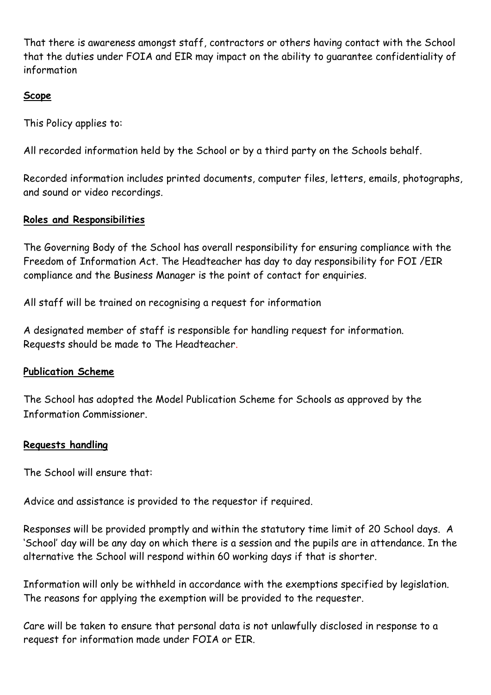That there is awareness amongst staff, contractors or others having contact with the School that the duties under FOIA and EIR may impact on the ability to guarantee confidentiality of information

#### **Scope**

This Policy applies to:

All recorded information held by the School or by a third party on the Schools behalf.

Recorded information includes printed documents, computer files, letters, emails, photographs, and sound or video recordings.

#### **Roles and Responsibilities**

The Governing Body of the School has overall responsibility for ensuring compliance with the Freedom of Information Act. The Headteacher has day to day responsibility for FOI /EIR compliance and the Business Manager is the point of contact for enquiries.

All staff will be trained on recognising a request for information

A designated member of staff is responsible for handling request for information. Requests should be made to The Headteacher.

#### **Publication Scheme**

The School has adopted the Model Publication Scheme for Schools as approved by the Information Commissioner.

#### **Requests handling**

The School will ensure that:

Advice and assistance is provided to the requestor if required.

Responses will be provided promptly and within the statutory time limit of 20 School days. A 'School' day will be any day on which there is a session and the pupils are in attendance. In the alternative the School will respond within 60 working days if that is shorter.

Information will only be withheld in accordance with the exemptions specified by legislation. The reasons for applying the exemption will be provided to the requester.

Care will be taken to ensure that personal data is not unlawfully disclosed in response to a request for information made under FOIA or EIR.